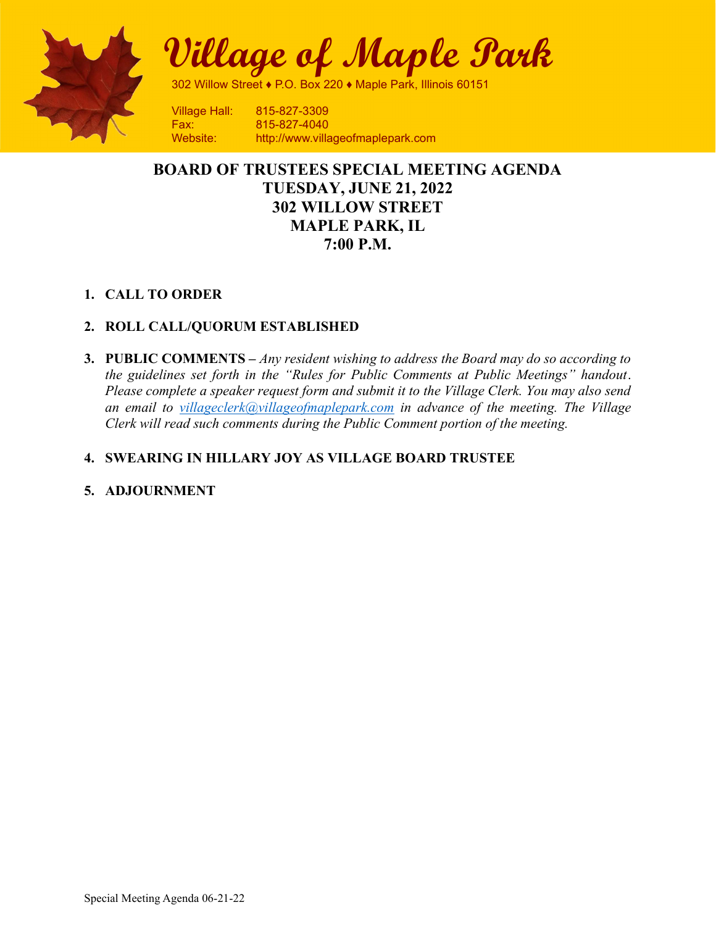

Village of Maple Park

302 Willow Street ♦ P.O. Box 220 ♦ Maple Park, Illinois 60151

Fax: 815-827-4040 Website: http://www.villageofmaplepark.com

# BOARD OF TRUSTEES SPECIAL MEETING AGENDA TUESDAY, JUNE 21, 2022 302 WILLOW STREET MAPLE PARK, IL 7:00 P.M.

## 1. CALL TO ORDER

## 2. ROLL CALL/QUORUM ESTABLISHED

**3. PUBLIC COMMENTS** – Any resident wishing to address the Board may do so according to the guidelines set forth in the "Rules for Public Comments at Public Meetings" handout. Please complete a speaker request form and submit it to the Village Clerk. You may also send an email to villageclerk@villageofmaplepark.com in advance of the meeting. The Village Clerk will read such comments during the Public Comment portion of the meeting.

# 4. SWEARING IN HILLARY JOY AS VILLAGE BOARD TRUSTEE

## 5. ADJOURNMENT